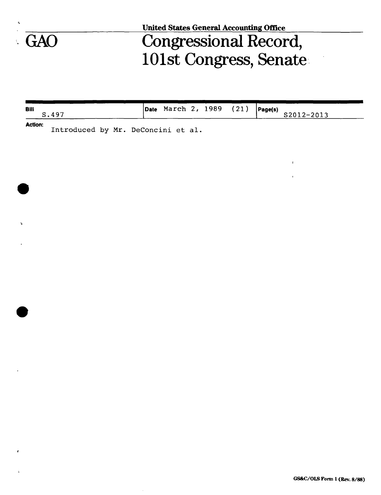

**United States General Accounting Office** 

## GAO Congressional Record, 101st Congress, Senate

| Bill<br>S.497                         | <b>Date</b> March 2, 1989 (21) |  | Page(s)<br>S2012-2013 |
|---------------------------------------|--------------------------------|--|-----------------------|
| <b>Action:</b><br>$\sim$ $\sim$<br>__ |                                |  |                       |

Introduced by Mr. DeConcini et al.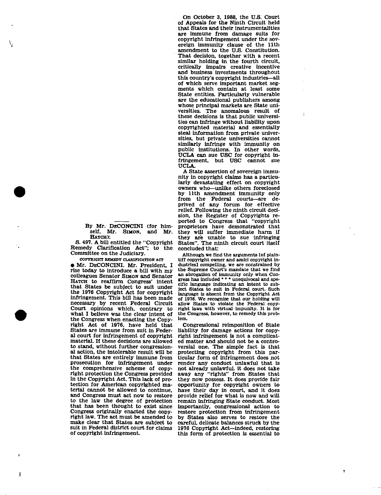By Mr. DzCONCINI (for himself. Mr. SIMON, and Mr. HATCH)\*

S. 497. A bill entitled the "Copyright Remedy Clarification Act"; to the Committee on the Judiciary.

**COPYRIGHT REMEDY CLARIFICATION ACT** 

• Mr. DECONCINI. Mr. President, I rise today to introduce a bill with my colleagues Senator SIMON and Senator HATCH to reaffirm Congress' intent that States be subject to suit under the 1976 Copyright Act for copyright infringement. This bill has been made necessary by recent Federal Circuit Court opinions which, contrary to what I believe was the clear Intent of the Congress when enacting the Copyright Act of 1976, have held that States are immune from suit in Federal court for infringement of copyright material. If these decisions are allowed to stand, without further congressional action, the intolerable result will be that States are entirely immune from prosecution for infringement under the comprehensive scheme of copyright protection the Congress provided in the Copyright Act. This lack of protection for American copyrighted material cannot be allowed to continue, and Congress must act now to restore to the law the degree of protection that has been thought to exist since Congress originally enacted the copyright law. The act must be amended to make clear that States are subject to suit in Federal district court for claims of copyright infringement.

ł

On October 3, 1988, the U.S. Court of Appeals for the Ninth Circuit held that States and their instrumentalities are immune from damage suits for copyright infringement under the sovereign immunity clause of the 11th amendment to the U.S. Constitution. That decision, together with a recent similar holding in the fourth circuit, critically impairs creative incentive and business investments throughout this country's copyright Industries—all of which serve important market segments which contain at least some State entities. Particularly vulnerable are the educational publishers among whose principal markets are State universities. The anomalous result of these decisions is that public universities can infringe without liability upon copyrighted material and essentially steal information from private universities, but private universities cannot similarly infringe with immunity on simuarly infringe with immunity on<br>public institutions. In other words, public institutions. In other words,<br>UCLA can sue USC for copyright in-UCLA can sue USC IOI copyright in-<br>fringement, but USC cannot sue fringement, but USC cannot sue<br>UCLA.

 $\ddot{i}$ 

Ł

A State assertion of sovereign immunity in copyright claims has a particularly devastating effect on copyright owners who—unlike others foreclosed by 11th amendment immunity only from the Federal courts—are deprived of any forum for effective relief. Following the ninth circuit decision, the Register of Copyrights reported to Congress that "copyright proprietors have demonstrated that they will suffer immediate harm if they are unable to sue infringing States". The ninth circuit court itself concluded that:

Although we find the arguments [of plaintiff copyright owner and amici copyright industries] compelling, we are constrained by the Supreme Court's mandate that we find an abrogation of immunity only when Congress has included \* \* \* unequivocal and specific language indicating an intent to subject States to suit in Federal court. Such language is absent from the Copyright Act of 1976. We recognize that our holding will allow States to violate the Federal copyright laws with virtual impunity. It is for the Congress, however, to remedy this problem.

Congressional reimposition of State liability for damage actions for copyright infringement is not a complicated matter and should not be a controversial one. The simple fact is that protecting copyright from this particular form of infringement does not render any conduct unlawful that is not already unlawful, it does not take away any "rights" from States that they now possess. It does provide fair opportunity for copyright owners to have their day in court, and it does provide relief for what is now and will remain infringing State conduct. Most importantly, congressional action to restore protection from infringement by States also serves to restore the careful, delicate balances struck by the 1976 Copyright Act—indeed, restoring this form of protection is essential to